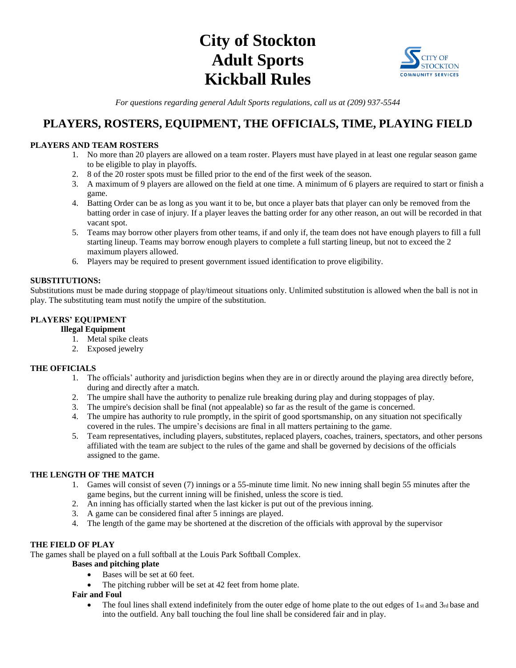# **City of Stockton Adult Sports Kickball Rules**



*For questions regarding general Adult Sports regulations, call us at (209) 937-5544*

# **PLAYERS, ROSTERS, EQUIPMENT, THE OFFICIALS, TIME, PLAYING FIELD**

# **PLAYERS AND TEAM ROSTERS**

- 1. No more than 20 players are allowed on a team roster. Players must have played in at least one regular season game to be eligible to play in playoffs.
- 2. 8 of the 20 roster spots must be filled prior to the end of the first week of the season.
- 3. A maximum of 9 players are allowed on the field at one time. A minimum of 6 players are required to start or finish a game.
- 4. Batting Order can be as long as you want it to be, but once a player bats that player can only be removed from the batting order in case of injury. If a player leaves the batting order for any other reason, an out will be recorded in that vacant spot.
- 5. Teams may borrow other players from other teams, if and only if, the team does not have enough players to fill a full starting lineup. Teams may borrow enough players to complete a full starting lineup, but not to exceed the 2 maximum players allowed.
- 6. Players may be required to present government issued identification to prove eligibility.

#### **SUBSTITUTIONS:**

Substitutions must be made during stoppage of play/timeout situations only. Unlimited substitution is allowed when the ball is not in play. The substituting team must notify the umpire of the substitution.

# **PLAYERS' EQUIPMENT**

**Illegal Equipment**

- 1. Metal spike cleats
- 2. Exposed jewelry

# **THE OFFICIALS**

- 1. The officials' authority and jurisdiction begins when they are in or directly around the playing area directly before, during and directly after a match.
- 2. The umpire shall have the authority to penalize rule breaking during play and during stoppages of play.
- 3. The umpire's decision shall be final (not appealable) so far as the result of the game is concerned.
- 4. The umpire has authority to rule promptly, in the spirit of good sportsmanship, on any situation not specifically covered in the rules. The umpire's decisions are final in all matters pertaining to the game.
- 5. Team representatives, including players, substitutes, replaced players, coaches, trainers, spectators, and other persons affiliated with the team are subject to the rules of the game and shall be governed by decisions of the officials assigned to the game.

# **THE LENGTH OF THE MATCH**

- 1. Games will consist of seven (7) innings or a 55-minute time limit. No new inning shall begin 55 minutes after the game begins, but the current inning will be finished, unless the score is tied.
- 2. An inning has officially started when the last kicker is put out of the previous inning.
- 3. A game can be considered final after 5 innings are played.
- 4. The length of the game may be shortened at the discretion of the officials with approval by the supervisor

# **THE FIELD OF PLAY**

The games shall be played on a full softball at the Louis Park Softball Complex.

#### **Bases and pitching plate**

- Bases will be set at 60 feet.
- The pitching rubber will be set at 42 feet from home plate.

# **Fair and Foul**

The foul lines shall extend indefinitely from the outer edge of home plate to the out edges of  $1$ st and  $3$ rd base and into the outfield. Any ball touching the foul line shall be considered fair and in play.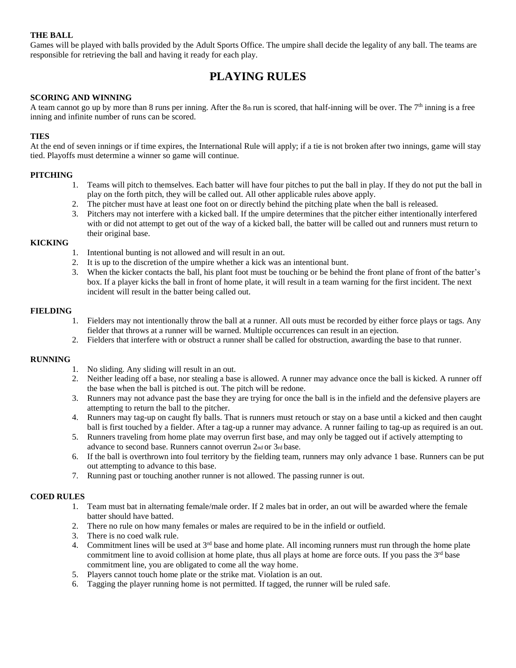#### **THE BALL**

Games will be played with balls provided by the Adult Sports Office. The umpire shall decide the legality of any ball. The teams are responsible for retrieving the ball and having it ready for each play.

# **PLAYING RULES**

#### **SCORING AND WINNING**

A team cannot go up by more than 8 runs per inning. After the  $8<sub>th</sub>$ run is scored, that half-inning will be over. The  $7<sup>th</sup>$  inning is a free inning and infinite number of runs can be scored.

#### **TIES**

At the end of seven innings or if time expires, the International Rule will apply; if a tie is not broken after two innings, game will stay tied. Playoffs must determine a winner so game will continue.

#### **PITCHING**

- 1. Teams will pitch to themselves. Each batter will have four pitches to put the ball in play. If they do not put the ball in play on the forth pitch, they will be called out. All other applicable rules above apply.
- 2. The pitcher must have at least one foot on or directly behind the pitching plate when the ball is released.
- 3. Pitchers may not interfere with a kicked ball. If the umpire determines that the pitcher either intentionally interfered with or did not attempt to get out of the way of a kicked ball, the batter will be called out and runners must return to their original base.

#### **KICKING**

- 1. Intentional bunting is not allowed and will result in an out.
- 2. It is up to the discretion of the umpire whether a kick was an intentional bunt.
- 3. When the kicker contacts the ball, his plant foot must be touching or be behind the front plane of front of the batter's box. If a player kicks the ball in front of home plate, it will result in a team warning for the first incident. The next incident will result in the batter being called out.

#### **FIELDING**

- 1. Fielders may not intentionally throw the ball at a runner. All outs must be recorded by either force plays or tags. Any fielder that throws at a runner will be warned. Multiple occurrences can result in an ejection.
- 2. Fielders that interfere with or obstruct a runner shall be called for obstruction, awarding the base to that runner.

#### **RUNNING**

- 1. No sliding. Any sliding will result in an out.
- 2. Neither leading off a base, nor stealing a base is allowed. A runner may advance once the ball is kicked. A runner off the base when the ball is pitched is out. The pitch will be redone.
- 3. Runners may not advance past the base they are trying for once the ball is in the infield and the defensive players are attempting to return the ball to the pitcher.
- 4. Runners may tag-up on caught fly balls. That is runners must retouch or stay on a base until a kicked and then caught ball is first touched by a fielder. After a tag-up a runner may advance. A runner failing to tag-up as required is an out.
- 5. Runners traveling from home plate may overrun first base, and may only be tagged out if actively attempting to advance to second base. Runners cannot overrun 2nd or 3rd base.
- 6. If the ball is overthrown into foul territory by the fielding team, runners may only advance 1 base. Runners can be put out attempting to advance to this base.
- 7. Running past or touching another runner is not allowed. The passing runner is out.

#### **COED RULES**

- 1. Team must bat in alternating female/male order. If 2 males bat in order, an out will be awarded where the female batter should have batted.
- 2. There no rule on how many females or males are required to be in the infield or outfield.
- 3. There is no coed walk rule.
- 4. Commitment lines will be used at  $3<sup>rd</sup>$  base and home plate. All incoming runners must run through the home plate commitment line to avoid collision at home plate, thus all plays at home are force outs. If you pass the  $3^{rd}$  base commitment line, you are obligated to come all the way home.
- 5. Players cannot touch home plate or the strike mat. Violation is an out.
- 6. Tagging the player running home is not permitted. If tagged, the runner will be ruled safe.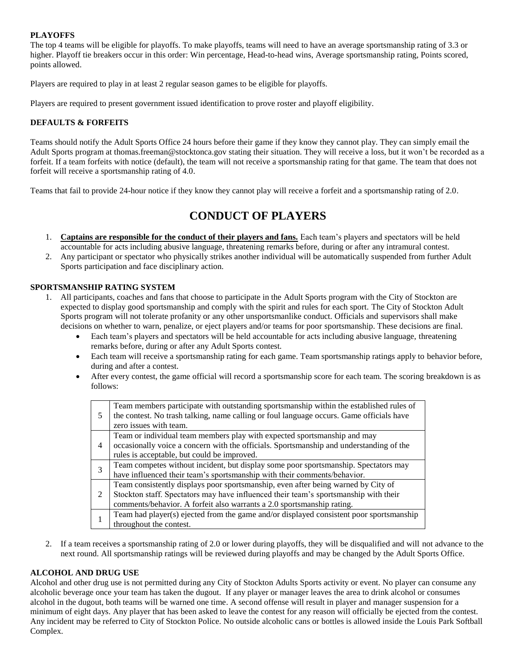#### **PLAYOFFS**

The top 4 teams will be eligible for playoffs. To make playoffs, teams will need to have an average sportsmanship rating of 3.3 or higher. Playoff tie breakers occur in this order: Win percentage, Head-to-head wins, Average sportsmanship rating, Points scored, points allowed.

Players are required to play in at least 2 regular season games to be eligible for playoffs.

Players are required to present government issued identification to prove roster and playoff eligibility.

#### **DEFAULTS & FORFEITS**

Teams should notify the Adult Sports Office 24 hours before their game if they know they cannot play. They can simply email the Adult Sports program at thomas.freeman@stocktonca.gov stating their situation. They will receive a loss, but it won't be recorded as a forfeit. If a team forfeits with notice (default), the team will not receive a sportsmanship rating for that game. The team that does not forfeit will receive a sportsmanship rating of 4.0.

Teams that fail to provide 24-hour notice if they know they cannot play will receive a forfeit and a sportsmanship rating of 2.0.

# **CONDUCT OF PLAYERS**

- 1. **Captains are responsible for the conduct of their players and fans.** Each team's players and spectators will be held accountable for acts including abusive language, threatening remarks before, during or after any intramural contest.
- 2. Any participant or spectator who physically strikes another individual will be automatically suspended from further Adult Sports participation and face disciplinary action.

#### **SPORTSMANSHIP RATING SYSTEM**

- 1. All participants, coaches and fans that choose to participate in the Adult Sports program with the City of Stockton are expected to display good sportsmanship and comply with the spirit and rules for each sport. The City of Stockton Adult Sports program will not tolerate profanity or any other unsportsmanlike conduct. Officials and supervisors shall make decisions on whether to warn, penalize, or eject players and/or teams for poor sportsmanship. These decisions are final.
	- Each team's players and spectators will be held accountable for acts including abusive language, threatening remarks before, during or after any Adult Sports contest.
	- Each team will receive a sportsmanship rating for each game. Team sportsmanship ratings apply to behavior before, during and after a contest.
	- After every contest, the game official will record a sportsmanship score for each team. The scoring breakdown is as follows:

| 5              | Team members participate with outstanding sportsmanship within the established rules of<br>the contest. No trash talking, name calling or foul language occurs. Game officials have<br>zero issues with team.                                       |
|----------------|-----------------------------------------------------------------------------------------------------------------------------------------------------------------------------------------------------------------------------------------------------|
| $\overline{4}$ | Team or individual team members play with expected sportsmanship and may<br>occasionally voice a concern with the officials. Sportsmanship and understanding of the<br>rules is acceptable, but could be improved.                                  |
| 3              | Team competes without incident, but display some poor sportsmanship. Spectators may<br>have influenced their team's sportsmanship with their comments/behavior.                                                                                     |
| $\mathfrak{D}$ | Team consistently displays poor sportsmanship, even after being warned by City of<br>Stockton staff. Spectators may have influenced their team's sportsmanship with their<br>comments/behavior. A forfeit also warrants a 2.0 sportsmanship rating. |
|                | Team had player(s) ejected from the game and/or displayed consistent poor sportsmanship<br>throughout the contest.                                                                                                                                  |

2. If a team receives a sportsmanship rating of 2.0 or lower during playoffs, they will be disqualified and will not advance to the next round. All sportsmanship ratings will be reviewed during playoffs and may be changed by the Adult Sports Office.

#### **ALCOHOL AND DRUG USE**

Alcohol and other drug use is not permitted during any City of Stockton Adults Sports activity or event. No player can consume any alcoholic beverage once your team has taken the dugout. If any player or manager leaves the area to drink alcohol or consumes alcohol in the dugout, both teams will be warned one time. A second offense will result in player and manager suspension for a minimum of eight days. Any player that has been asked to leave the contest for any reason will officially be ejected from the contest. Any incident may be referred to City of Stockton Police. No outside alcoholic cans or bottles is allowed inside the Louis Park Softball Complex.